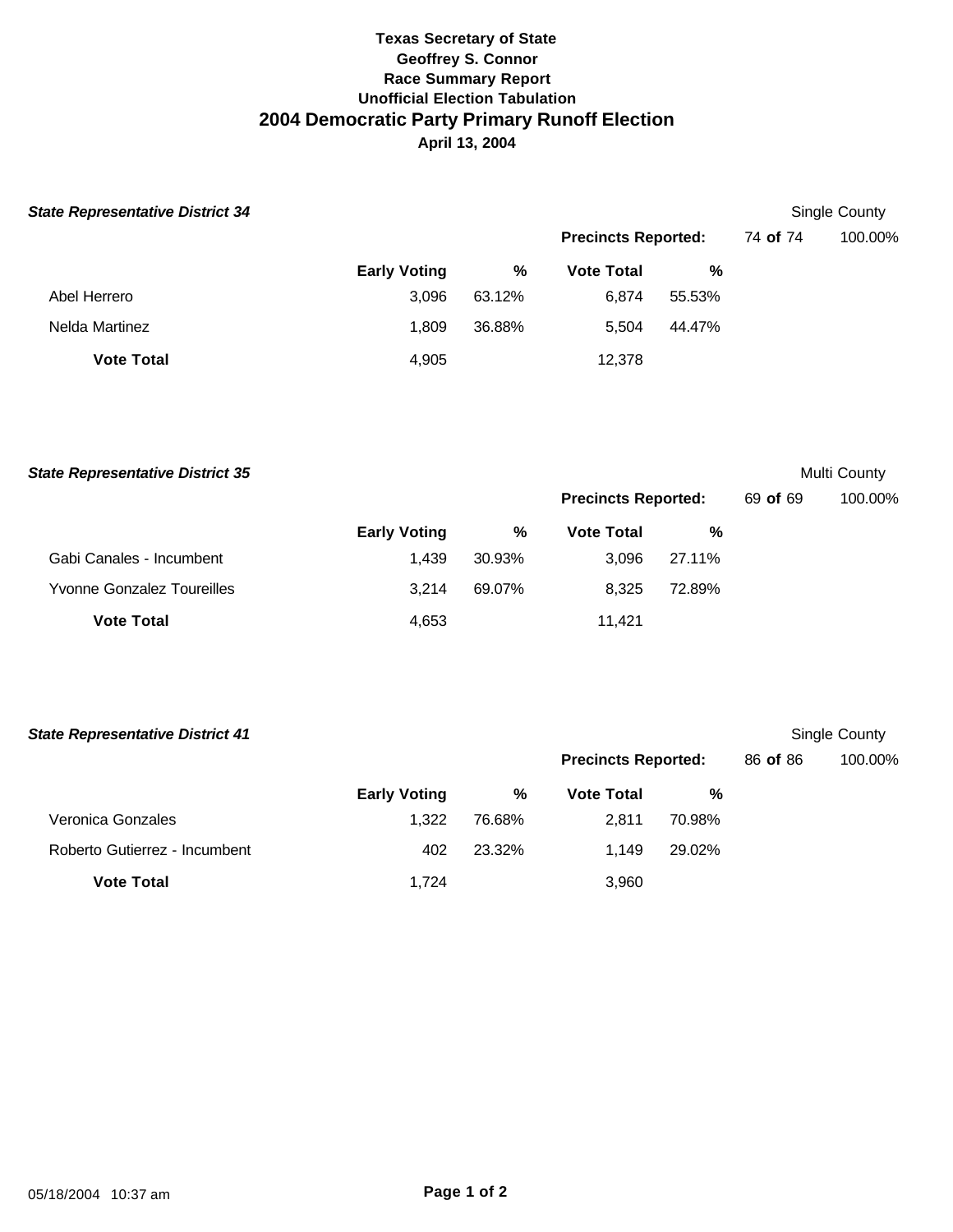## **Texas Secretary of State Geoffrey S. Connor Race Summary Report Unofficial Election Tabulation 2004 Democratic Party Primary Runoff Election April 13, 2004**

| <b>State Representative District 34</b> |                     |        |                            |        | Single County |         |
|-----------------------------------------|---------------------|--------|----------------------------|--------|---------------|---------|
|                                         |                     |        | <b>Precincts Reported:</b> |        | 74 of 74      | 100.00% |
|                                         | <b>Early Voting</b> | %      | <b>Vote Total</b>          | %      |               |         |
| Abel Herrero                            | 3,096               | 63.12% | 6,874                      | 55.53% |               |         |
| Nelda Martinez                          | 1.809               | 36.88% | 5.504                      | 44.47% |               |         |
| <b>Vote Total</b>                       | 4,905               |        | 12,378                     |        |               |         |

**Early Voting % Vote Total %** Gabi Canales - Incumbent 1,439 30.93% 3,096 27.11% Yvonne Gonzalez Toureilles 3,214 69.07% 8,325 72.89% **Vote Total 11,421 State Representative District 35** Multi County **Precincts Reported:** 69 **of** 69 100.00%

| <b>State Representative District 41</b> |                            |        |                   |        |          | Single County |  |
|-----------------------------------------|----------------------------|--------|-------------------|--------|----------|---------------|--|
|                                         | <b>Precincts Reported:</b> |        |                   |        | 86 of 86 | 100.00%       |  |
|                                         | <b>Early Voting</b>        | %      | <b>Vote Total</b> | %      |          |               |  |
| Veronica Gonzales                       | 1.322                      | 76.68% | 2.811             | 70.98% |          |               |  |
| Roberto Gutierrez - Incumbent           | 402                        | 23.32% | 1.149             | 29.02% |          |               |  |
| <b>Vote Total</b>                       | 1.724                      |        | 3,960             |        |          |               |  |